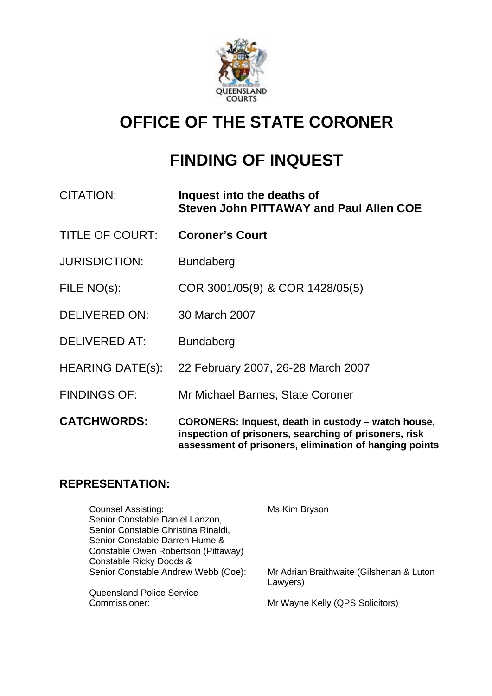

# **OFFICE OF THE STATE CORONER**

# **FINDING OF INQUEST**

| CITATION:               | Inquest into the deaths of<br><b>Steven John PITTAWAY and Paul Allen COE</b>                                                                                          |
|-------------------------|-----------------------------------------------------------------------------------------------------------------------------------------------------------------------|
| <b>TITLE OF COURT:</b>  | <b>Coroner's Court</b>                                                                                                                                                |
| <b>JURISDICTION:</b>    | <b>Bundaberg</b>                                                                                                                                                      |
| FILE NO(s):             | COR 3001/05(9) & COR 1428/05(5)                                                                                                                                       |
| <b>DELIVERED ON:</b>    | 30 March 2007                                                                                                                                                         |
| <b>DELIVERED AT:</b>    | <b>Bundaberg</b>                                                                                                                                                      |
| <b>HEARING DATE(s):</b> | 22 February 2007, 26-28 March 2007                                                                                                                                    |
| <b>FINDINGS OF:</b>     | Mr Michael Barnes, State Coroner                                                                                                                                      |
| <b>CATCHWORDS:</b>      | CORONERS: Inquest, death in custody - watch house,<br>inspection of prisoners, searching of prisoners, risk<br>assessment of prisoners, elimination of hanging points |

# **REPRESENTATION:**

| <b>Counsel Assisting:</b>           | Ms Kim Bryson                                        |
|-------------------------------------|------------------------------------------------------|
| Senior Constable Daniel Lanzon,     |                                                      |
| Senior Constable Christina Rinaldi, |                                                      |
| Senior Constable Darren Hume &      |                                                      |
| Constable Owen Robertson (Pittaway) |                                                      |
| Constable Ricky Dodds &             |                                                      |
| Senior Constable Andrew Webb (Coe): | Mr Adrian Braithwaite (Gilshenan & Luton<br>Lawyers) |
| <b>Queensland Police Service</b>    |                                                      |
| Commissioner:                       | Mr Wayne Kelly (QPS Solicitors)                      |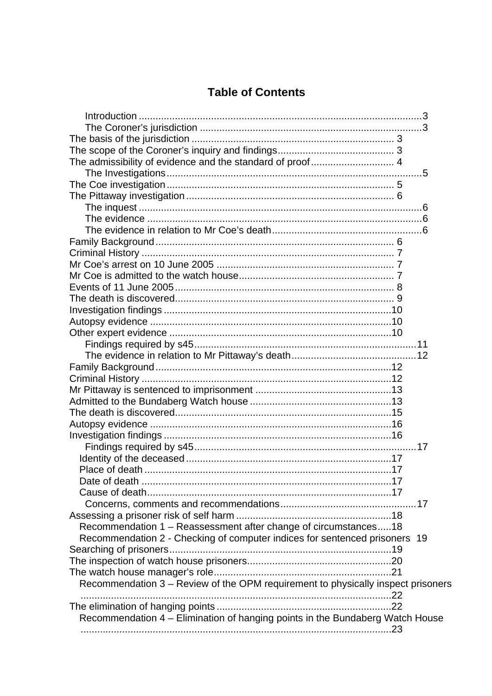# **Table of Contents**

| Recommendation 1 - Reassessment after change of circumstances18                  |  |
|----------------------------------------------------------------------------------|--|
| Recommendation 2 - Checking of computer indices for sentenced prisoners 19       |  |
|                                                                                  |  |
|                                                                                  |  |
|                                                                                  |  |
|                                                                                  |  |
| Recommendation 3 - Review of the OPM requirement to physically inspect prisoners |  |
|                                                                                  |  |
|                                                                                  |  |
| Recommendation 4 - Elimination of hanging points in the Bundaberg Watch House    |  |
|                                                                                  |  |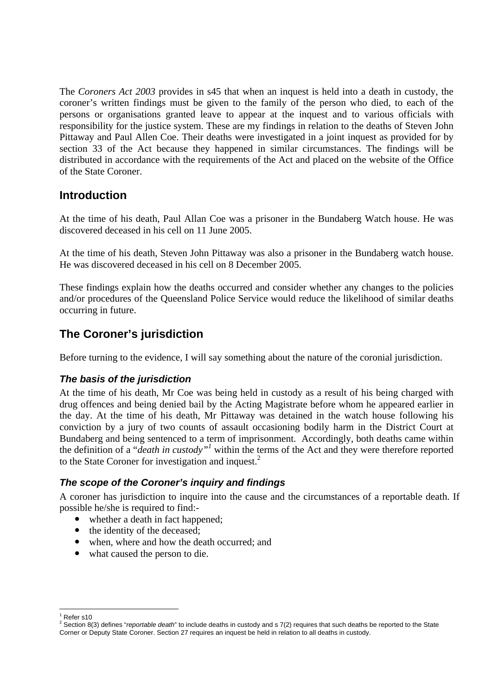The *Coroners Act 2003* provides in s45 that when an inquest is held into a death in custody, the coroner's written findings must be given to the family of the person who died, to each of the persons or organisations granted leave to appear at the inquest and to various officials with responsibility for the justice system. These are my findings in relation to the deaths of Steven John Pittaway and Paul Allen Coe. Their deaths were investigated in a joint inquest as provided for by section 33 of the Act because they happened in similar circumstances. The findings will be distributed in accordance with the requirements of the Act and placed on the website of the Office of the State Coroner.

# **Introduction**

At the time of his death, Paul Allan Coe was a prisoner in the Bundaberg Watch house. He was discovered deceased in his cell on 11 June 2005.

At the time of his death, Steven John Pittaway was also a prisoner in the Bundaberg watch house. He was discovered deceased in his cell on 8 December 2005.

These findings explain how the deaths occurred and consider whether any changes to the policies and/or procedures of the Queensland Police Service would reduce the likelihood of similar deaths occurring in future.

# **The Coroner's jurisdiction**

Before turning to the evidence, I will say something about the nature of the coronial jurisdiction.

### *The basis of the jurisdiction*

At the time of his death, Mr Coe was being held in custody as a result of his being charged with drug offences and being denied bail by the Acting Magistrate before whom he appeared earlier in the day. At the time of his death, Mr Pittaway was detained in the watch house following his conviction by a jury of two counts of assault occasioning bodily harm in the District Court at Bundaberg and being sentenced to a term of imprisonment. Accordingly, both deaths came within the definition of a "*death in custody"1* within the terms of the Act and they were therefore reported to the State Coroner for investigation and inquest.<sup>2</sup>

### *The scope of the Coroner's inquiry and findings*

A coroner has jurisdiction to inquire into the cause and the circumstances of a reportable death. If possible he/she is required to find:-

- whether a death in fact happened;
- $\bullet$  the identity of the deceased:
- when, where and how the death occurred; and
- what caused the person to die.

<sup>1</sup>  $1$  Refer s10

<sup>2</sup> Section 8(3) defines "*reportable death*" to include deaths in custody and s 7(2) requires that such deaths be reported to the State Corner or Deputy State Coroner. Section 27 requires an inquest be held in relation to all deaths in custody.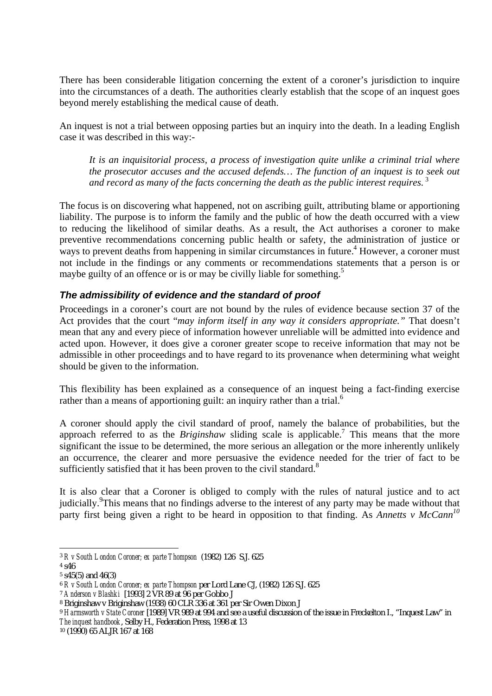There has been considerable litigation concerning the extent of a coroner's jurisdiction to inquire into the circumstances of a death. The authorities clearly establish that the scope of an inquest goes beyond merely establishing the medical cause of death.

An inquest is not a trial between opposing parties but an inquiry into the death. In a leading English case it was described in this way:-

*It is an inquisitorial process, a process of investigation quite unlike a criminal trial where the prosecutor accuses and the accused defends… The function of an inquest is to seek out and record as many of the facts concerning the death as the public interest requires.*<sup>3</sup>

The focus is on discovering what happened, not on ascribing guilt, attributing blame or apportioning liability. The purpose is to inform the family and the public of how the death occurred with a view to reducing the likelihood of similar deaths. As a result, the Act authorises a coroner to make preventive recommendations concerning public health or safety, the administration of justice or ways to prevent deaths from happening in similar circumstances in future.<sup>4</sup> However, a coroner must not include in the findings or any comments or recommendations statements that a person is or maybe guilty of an offence or is or may be civilly liable for something.<sup>5</sup>

## *The admissibility of evidence and the standard of proof*

Proceedings in a coroner's court are not bound by the rules of evidence because section 37 of the Act provides that the court "*may inform itself in any way it considers appropriate."* That doesn't mean that any and every piece of information however unreliable will be admitted into evidence and acted upon. However, it does give a coroner greater scope to receive information that may not be admissible in other proceedings and to have regard to its provenance when determining what weight should be given to the information.

This flexibility has been explained as a consequence of an inquest being a fact-finding exercise rather than a means of apportioning guilt: an inquiry rather than a trial.<sup>6</sup>

A coroner should apply the civil standard of proof, namely the balance of probabilities, but the approach referred to as the *Briginshaw* sliding scale is applicable.<sup>7</sup> This means that the more significant the issue to be determined, the more serious an allegation or the more inherently unlikely an occurrence, the clearer and more persuasive the evidence needed for the trier of fact to be sufficiently satisfied that it has been proven to the civil standard.<sup>8</sup>

It is also clear that a Coroner is obliged to comply with the rules of natural justice and to act judicially.<sup>9</sup>This means that no findings adverse to the interest of any party may be made without that party first being given a right to be heard in opposition to that finding. As *Annetts v McCann<sup>10</sup>* 

<sup>1</sup> <sup>3</sup> *R v South London Coroner; ex parte Thompson* (1982) 126 S.J. 625

<sup>4</sup> s46

<sup>5</sup> s45(5) and 46(3)

<sup>6</sup> *R v South London Coroner; ex parte Thompson* per Lord Lane CJ, (1982) 126 S.J. 625

<sup>7</sup> *Anderson v Blashki* [1993] 2 VR 89 at 96 per Gobbo J

<sup>8</sup> Briginshaw v Briginshaw (1938) 60 CLR 336 at 361 per Sir Owen Dixon J

<sup>9</sup> *Harmsworth v State Coroner* [1989] VR 989 at 994 and see a useful discussion of the issue in Freckelton I., "Inquest Law" in *The inquest handbook*, Selby H., Federation Press, 1998 at 13

<sup>10 (1990) 65</sup> ALJR 167 at 168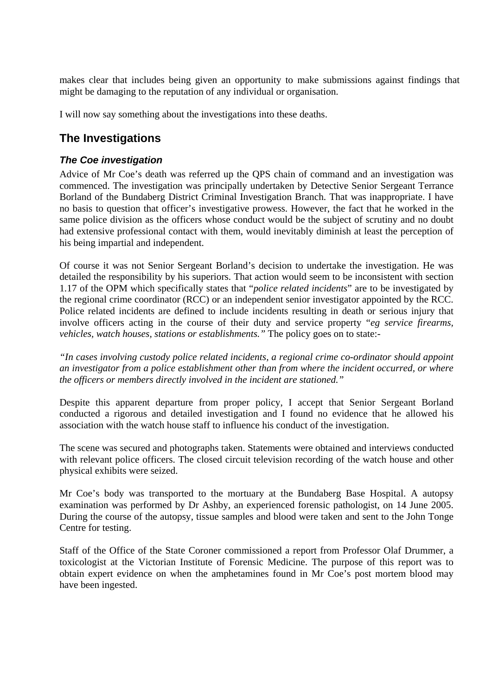makes clear that includes being given an opportunity to make submissions against findings that might be damaging to the reputation of any individual or organisation.

I will now say something about the investigations into these deaths.

# **The Investigations**

### *The Coe investigation*

Advice of Mr Coe's death was referred up the QPS chain of command and an investigation was commenced. The investigation was principally undertaken by Detective Senior Sergeant Terrance Borland of the Bundaberg District Criminal Investigation Branch. That was inappropriate. I have no basis to question that officer's investigative prowess. However, the fact that he worked in the same police division as the officers whose conduct would be the subject of scrutiny and no doubt had extensive professional contact with them, would inevitably diminish at least the perception of his being impartial and independent.

Of course it was not Senior Sergeant Borland's decision to undertake the investigation. He was detailed the responsibility by his superiors. That action would seem to be inconsistent with section 1.17 of the OPM which specifically states that "*police related incidents*" are to be investigated by the regional crime coordinator (RCC) or an independent senior investigator appointed by the RCC. Police related incidents are defined to include incidents resulting in death or serious injury that involve officers acting in the course of their duty and service property "*eg service firearms, vehicles, watch houses, stations or establishments."* The policy goes on to state:-

*"In cases involving custody police related incidents, a regional crime co-ordinator should appoint an investigator from a police establishment other than from where the incident occurred, or where the officers or members directly involved in the incident are stationed."* 

Despite this apparent departure from proper policy, I accept that Senior Sergeant Borland conducted a rigorous and detailed investigation and I found no evidence that he allowed his association with the watch house staff to influence his conduct of the investigation.

The scene was secured and photographs taken. Statements were obtained and interviews conducted with relevant police officers. The closed circuit television recording of the watch house and other physical exhibits were seized.

Mr Coe's body was transported to the mortuary at the Bundaberg Base Hospital. A autopsy examination was performed by Dr Ashby, an experienced forensic pathologist, on 14 June 2005. During the course of the autopsy, tissue samples and blood were taken and sent to the John Tonge Centre for testing.

Staff of the Office of the State Coroner commissioned a report from Professor Olaf Drummer, a toxicologist at the Victorian Institute of Forensic Medicine. The purpose of this report was to obtain expert evidence on when the amphetamines found in Mr Coe's post mortem blood may have been ingested.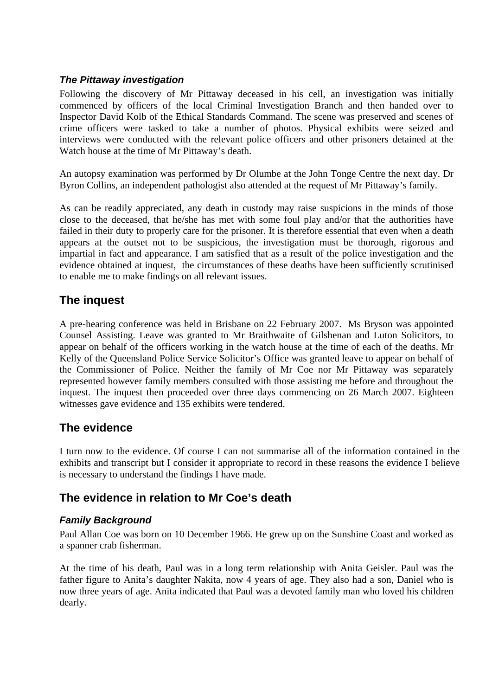### *The Pittaway investigation*

Following the discovery of Mr Pittaway deceased in his cell, an investigation was initially commenced by officers of the local Criminal Investigation Branch and then handed over to Inspector David Kolb of the Ethical Standards Command. The scene was preserved and scenes of crime officers were tasked to take a number of photos. Physical exhibits were seized and interviews were conducted with the relevant police officers and other prisoners detained at the Watch house at the time of Mr Pittaway's death.

An autopsy examination was performed by Dr Olumbe at the John Tonge Centre the next day. Dr Byron Collins, an independent pathologist also attended at the request of Mr Pittaway's family.

As can be readily appreciated, any death in custody may raise suspicions in the minds of those close to the deceased, that he/she has met with some foul play and/or that the authorities have failed in their duty to properly care for the prisoner. It is therefore essential that even when a death appears at the outset not to be suspicious, the investigation must be thorough, rigorous and impartial in fact and appearance. I am satisfied that as a result of the police investigation and the evidence obtained at inquest, the circumstances of these deaths have been sufficiently scrutinised to enable me to make findings on all relevant issues.

# **The inquest**

A pre-hearing conference was held in Brisbane on 22 February 2007. Ms Bryson was appointed Counsel Assisting. Leave was granted to Mr Braithwaite of Gilshenan and Luton Solicitors, to appear on behalf of the officers working in the watch house at the time of each of the deaths. Mr Kelly of the Queensland Police Service Solicitor's Office was granted leave to appear on behalf of the Commissioner of Police. Neither the family of Mr Coe nor Mr Pittaway was separately represented however family members consulted with those assisting me before and throughout the inquest. The inquest then proceeded over three days commencing on 26 March 2007. Eighteen witnesses gave evidence and 135 exhibits were tendered.

# **The evidence**

I turn now to the evidence. Of course I can not summarise all of the information contained in the exhibits and transcript but I consider it appropriate to record in these reasons the evidence I believe is necessary to understand the findings I have made.

# **The evidence in relation to Mr Coe's death**

## *Family Background*

Paul Allan Coe was born on 10 December 1966. He grew up on the Sunshine Coast and worked as a spanner crab fisherman.

At the time of his death, Paul was in a long term relationship with Anita Geisler. Paul was the father figure to Anita's daughter Nakita, now 4 years of age. They also had a son, Daniel who is now three years of age. Anita indicated that Paul was a devoted family man who loved his children dearly.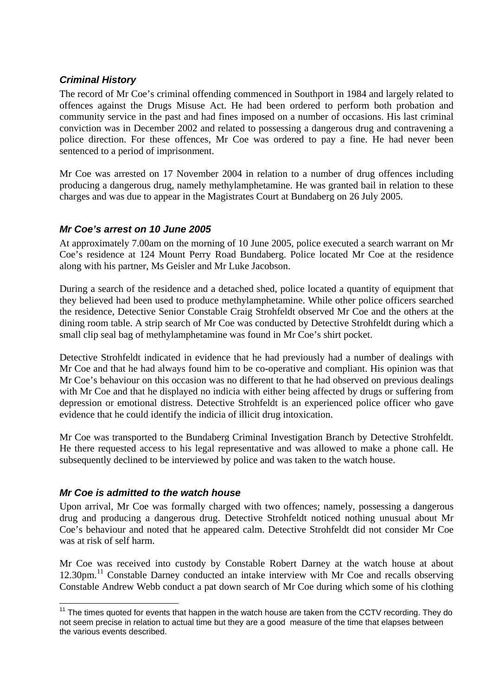### *Criminal History*

The record of Mr Coe's criminal offending commenced in Southport in 1984 and largely related to offences against the Drugs Misuse Act. He had been ordered to perform both probation and community service in the past and had fines imposed on a number of occasions. His last criminal conviction was in December 2002 and related to possessing a dangerous drug and contravening a police direction. For these offences, Mr Coe was ordered to pay a fine. He had never been sentenced to a period of imprisonment.

Mr Coe was arrested on 17 November 2004 in relation to a number of drug offences including producing a dangerous drug, namely methylamphetamine. He was granted bail in relation to these charges and was due to appear in the Magistrates Court at Bundaberg on 26 July 2005.

### *Mr Coe's arrest on 10 June 2005*

At approximately 7.00am on the morning of 10 June 2005, police executed a search warrant on Mr Coe's residence at 124 Mount Perry Road Bundaberg. Police located Mr Coe at the residence along with his partner, Ms Geisler and Mr Luke Jacobson.

During a search of the residence and a detached shed, police located a quantity of equipment that they believed had been used to produce methylamphetamine. While other police officers searched the residence, Detective Senior Constable Craig Strohfeldt observed Mr Coe and the others at the dining room table. A strip search of Mr Coe was conducted by Detective Strohfeldt during which a small clip seal bag of methylamphetamine was found in Mr Coe's shirt pocket.

Detective Strohfeldt indicated in evidence that he had previously had a number of dealings with Mr Coe and that he had always found him to be co-operative and compliant. His opinion was that Mr Coe's behaviour on this occasion was no different to that he had observed on previous dealings with Mr Coe and that he displayed no indicia with either being affected by drugs or suffering from depression or emotional distress. Detective Strohfeldt is an experienced police officer who gave evidence that he could identify the indicia of illicit drug intoxication.

Mr Coe was transported to the Bundaberg Criminal Investigation Branch by Detective Strohfeldt. He there requested access to his legal representative and was allowed to make a phone call. He subsequently declined to be interviewed by police and was taken to the watch house.

### *Mr Coe is admitted to the watch house*

Upon arrival, Mr Coe was formally charged with two offences; namely, possessing a dangerous drug and producing a dangerous drug. Detective Strohfeldt noticed nothing unusual about Mr Coe's behaviour and noted that he appeared calm. Detective Strohfeldt did not consider Mr Coe was at risk of self harm.

Mr Coe was received into custody by Constable Robert Darney at the watch house at about 12.30pm.11 Constable Darney conducted an intake interview with Mr Coe and recalls observing Constable Andrew Webb conduct a pat down search of Mr Coe during which some of his clothing

<sup>1</sup>  $11$  The times quoted for events that happen in the watch house are taken from the CCTV recording. They do not seem precise in relation to actual time but they are a good measure of the time that elapses between the various events described.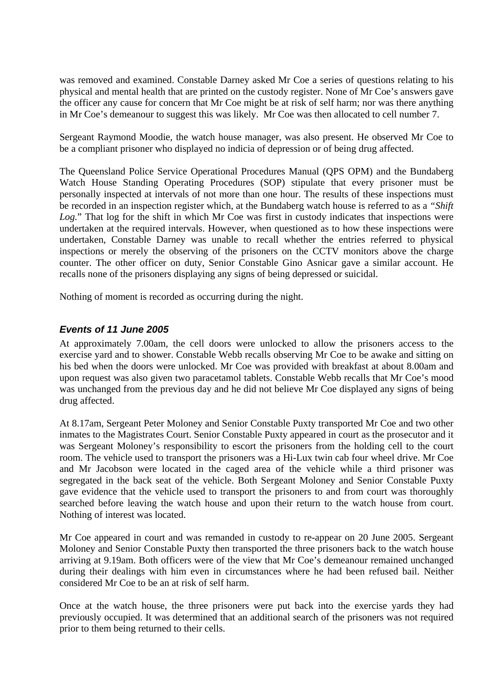was removed and examined. Constable Darney asked Mr Coe a series of questions relating to his physical and mental health that are printed on the custody register. None of Mr Coe's answers gave the officer any cause for concern that Mr Coe might be at risk of self harm; nor was there anything in Mr Coe's demeanour to suggest this was likely. Mr Coe was then allocated to cell number 7.

Sergeant Raymond Moodie, the watch house manager, was also present. He observed Mr Coe to be a compliant prisoner who displayed no indicia of depression or of being drug affected.

The Queensland Police Service Operational Procedures Manual (QPS OPM) and the Bundaberg Watch House Standing Operating Procedures (SOP) stipulate that every prisoner must be personally inspected at intervals of not more than one hour. The results of these inspections must be recorded in an inspection register which, at the Bundaberg watch house is referred to as a *"Shift*  Log." That log for the shift in which Mr Coe was first in custody indicates that inspections were undertaken at the required intervals. However, when questioned as to how these inspections were undertaken, Constable Darney was unable to recall whether the entries referred to physical inspections or merely the observing of the prisoners on the CCTV monitors above the charge counter. The other officer on duty, Senior Constable Gino Asnicar gave a similar account. He recalls none of the prisoners displaying any signs of being depressed or suicidal.

Nothing of moment is recorded as occurring during the night.

#### *Events of 11 June 2005*

At approximately 7.00am, the cell doors were unlocked to allow the prisoners access to the exercise yard and to shower. Constable Webb recalls observing Mr Coe to be awake and sitting on his bed when the doors were unlocked. Mr Coe was provided with breakfast at about 8.00am and upon request was also given two paracetamol tablets. Constable Webb recalls that Mr Coe's mood was unchanged from the previous day and he did not believe Mr Coe displayed any signs of being drug affected.

At 8.17am, Sergeant Peter Moloney and Senior Constable Puxty transported Mr Coe and two other inmates to the Magistrates Court. Senior Constable Puxty appeared in court as the prosecutor and it was Sergeant Moloney's responsibility to escort the prisoners from the holding cell to the court room. The vehicle used to transport the prisoners was a Hi-Lux twin cab four wheel drive. Mr Coe and Mr Jacobson were located in the caged area of the vehicle while a third prisoner was segregated in the back seat of the vehicle. Both Sergeant Moloney and Senior Constable Puxty gave evidence that the vehicle used to transport the prisoners to and from court was thoroughly searched before leaving the watch house and upon their return to the watch house from court. Nothing of interest was located.

Mr Coe appeared in court and was remanded in custody to re-appear on 20 June 2005. Sergeant Moloney and Senior Constable Puxty then transported the three prisoners back to the watch house arriving at 9.19am. Both officers were of the view that Mr Coe's demeanour remained unchanged during their dealings with him even in circumstances where he had been refused bail. Neither considered Mr Coe to be an at risk of self harm.

Once at the watch house, the three prisoners were put back into the exercise yards they had previously occupied. It was determined that an additional search of the prisoners was not required prior to them being returned to their cells.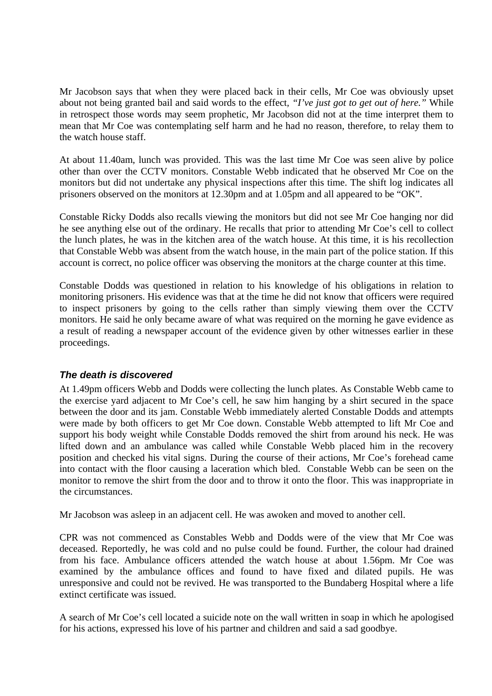Mr Jacobson says that when they were placed back in their cells, Mr Coe was obviously upset about not being granted bail and said words to the effect*, "I've just got to get out of here."* While in retrospect those words may seem prophetic, Mr Jacobson did not at the time interpret them to mean that Mr Coe was contemplating self harm and he had no reason, therefore, to relay them to the watch house staff.

At about 11.40am, lunch was provided. This was the last time Mr Coe was seen alive by police other than over the CCTV monitors. Constable Webb indicated that he observed Mr Coe on the monitors but did not undertake any physical inspections after this time. The shift log indicates all prisoners observed on the monitors at 12.30pm and at 1.05pm and all appeared to be "OK".

Constable Ricky Dodds also recalls viewing the monitors but did not see Mr Coe hanging nor did he see anything else out of the ordinary. He recalls that prior to attending Mr Coe's cell to collect the lunch plates, he was in the kitchen area of the watch house. At this time, it is his recollection that Constable Webb was absent from the watch house, in the main part of the police station. If this account is correct, no police officer was observing the monitors at the charge counter at this time.

Constable Dodds was questioned in relation to his knowledge of his obligations in relation to monitoring prisoners. His evidence was that at the time he did not know that officers were required to inspect prisoners by going to the cells rather than simply viewing them over the CCTV monitors. He said he only became aware of what was required on the morning he gave evidence as a result of reading a newspaper account of the evidence given by other witnesses earlier in these proceedings.

### *The death is discovered*

At 1.49pm officers Webb and Dodds were collecting the lunch plates. As Constable Webb came to the exercise yard adjacent to Mr Coe's cell, he saw him hanging by a shirt secured in the space between the door and its jam. Constable Webb immediately alerted Constable Dodds and attempts were made by both officers to get Mr Coe down. Constable Webb attempted to lift Mr Coe and support his body weight while Constable Dodds removed the shirt from around his neck. He was lifted down and an ambulance was called while Constable Webb placed him in the recovery position and checked his vital signs. During the course of their actions, Mr Coe's forehead came into contact with the floor causing a laceration which bled. Constable Webb can be seen on the monitor to remove the shirt from the door and to throw it onto the floor. This was inappropriate in the circumstances.

Mr Jacobson was asleep in an adjacent cell. He was awoken and moved to another cell.

CPR was not commenced as Constables Webb and Dodds were of the view that Mr Coe was deceased. Reportedly, he was cold and no pulse could be found. Further, the colour had drained from his face. Ambulance officers attended the watch house at about 1.56pm. Mr Coe was examined by the ambulance offices and found to have fixed and dilated pupils. He was unresponsive and could not be revived. He was transported to the Bundaberg Hospital where a life extinct certificate was issued.

A search of Mr Coe's cell located a suicide note on the wall written in soap in which he apologised for his actions, expressed his love of his partner and children and said a sad goodbye.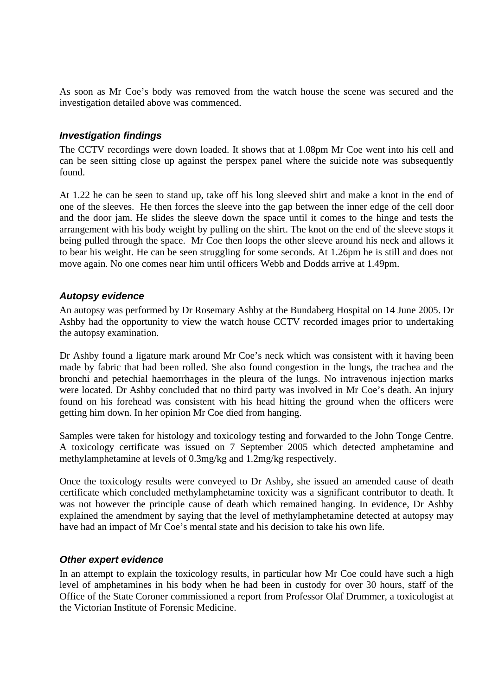As soon as Mr Coe's body was removed from the watch house the scene was secured and the investigation detailed above was commenced.

#### *Investigation findings*

The CCTV recordings were down loaded. It shows that at 1.08pm Mr Coe went into his cell and can be seen sitting close up against the perspex panel where the suicide note was subsequently found.

At 1.22 he can be seen to stand up, take off his long sleeved shirt and make a knot in the end of one of the sleeves. He then forces the sleeve into the gap between the inner edge of the cell door and the door jam. He slides the sleeve down the space until it comes to the hinge and tests the arrangement with his body weight by pulling on the shirt. The knot on the end of the sleeve stops it being pulled through the space. Mr Coe then loops the other sleeve around his neck and allows it to bear his weight. He can be seen struggling for some seconds. At 1.26pm he is still and does not move again. No one comes near him until officers Webb and Dodds arrive at 1.49pm.

#### *Autopsy evidence*

An autopsy was performed by Dr Rosemary Ashby at the Bundaberg Hospital on 14 June 2005. Dr Ashby had the opportunity to view the watch house CCTV recorded images prior to undertaking the autopsy examination.

Dr Ashby found a ligature mark around Mr Coe's neck which was consistent with it having been made by fabric that had been rolled. She also found congestion in the lungs, the trachea and the bronchi and petechial haemorrhages in the pleura of the lungs. No intravenous injection marks were located. Dr Ashby concluded that no third party was involved in Mr Coe's death. An injury found on his forehead was consistent with his head hitting the ground when the officers were getting him down. In her opinion Mr Coe died from hanging.

Samples were taken for histology and toxicology testing and forwarded to the John Tonge Centre. A toxicology certificate was issued on 7 September 2005 which detected amphetamine and methylamphetamine at levels of 0.3mg/kg and 1.2mg/kg respectively.

Once the toxicology results were conveyed to Dr Ashby, she issued an amended cause of death certificate which concluded methylamphetamine toxicity was a significant contributor to death. It was not however the principle cause of death which remained hanging. In evidence, Dr Ashby explained the amendment by saying that the level of methylamphetamine detected at autopsy may have had an impact of Mr Coe's mental state and his decision to take his own life.

#### *Other expert evidence*

In an attempt to explain the toxicology results, in particular how Mr Coe could have such a high level of amphetamines in his body when he had been in custody for over 30 hours, staff of the Office of the State Coroner commissioned a report from Professor Olaf Drummer, a toxicologist at the Victorian Institute of Forensic Medicine.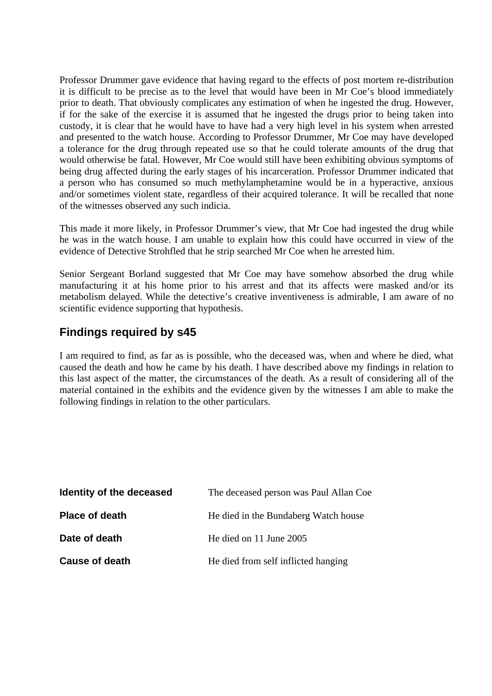Professor Drummer gave evidence that having regard to the effects of post mortem re-distribution it is difficult to be precise as to the level that would have been in Mr Coe's blood immediately prior to death. That obviously complicates any estimation of when he ingested the drug. However, if for the sake of the exercise it is assumed that he ingested the drugs prior to being taken into custody, it is clear that he would have to have had a very high level in his system when arrested and presented to the watch house. According to Professor Drummer, Mr Coe may have developed a tolerance for the drug through repeated use so that he could tolerate amounts of the drug that would otherwise be fatal. However, Mr Coe would still have been exhibiting obvious symptoms of being drug affected during the early stages of his incarceration. Professor Drummer indicated that a person who has consumed so much methylamphetamine would be in a hyperactive, anxious and/or sometimes violent state, regardless of their acquired tolerance. It will be recalled that none of the witnesses observed any such indicia.

This made it more likely, in Professor Drummer's view, that Mr Coe had ingested the drug while he was in the watch house. I am unable to explain how this could have occurred in view of the evidence of Detective Strohfled that he strip searched Mr Coe when he arrested him.

Senior Sergeant Borland suggested that Mr Coe may have somehow absorbed the drug while manufacturing it at his home prior to his arrest and that its affects were masked and/or its metabolism delayed. While the detective's creative inventiveness is admirable, I am aware of no scientific evidence supporting that hypothesis.

# **Findings required by s45**

I am required to find, as far as is possible, who the deceased was, when and where he died, what caused the death and how he came by his death. I have described above my findings in relation to this last aspect of the matter, the circumstances of the death. As a result of considering all of the material contained in the exhibits and the evidence given by the witnesses I am able to make the following findings in relation to the other particulars.

| Identity of the deceased | The deceased person was Paul Allan Coe |
|--------------------------|----------------------------------------|
| <b>Place of death</b>    | He died in the Bundaberg Watch house   |
| Date of death            | He died on 11 June 2005                |
| <b>Cause of death</b>    | He died from self inflicted hanging    |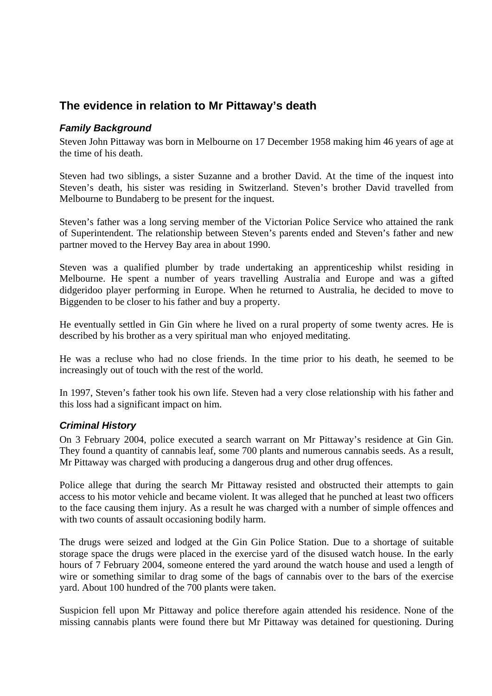# **The evidence in relation to Mr Pittaway's death**

### *Family Background*

Steven John Pittaway was born in Melbourne on 17 December 1958 making him 46 years of age at the time of his death.

Steven had two siblings, a sister Suzanne and a brother David. At the time of the inquest into Steven's death, his sister was residing in Switzerland. Steven's brother David travelled from Melbourne to Bundaberg to be present for the inquest.

Steven's father was a long serving member of the Victorian Police Service who attained the rank of Superintendent. The relationship between Steven's parents ended and Steven's father and new partner moved to the Hervey Bay area in about 1990.

Steven was a qualified plumber by trade undertaking an apprenticeship whilst residing in Melbourne. He spent a number of years travelling Australia and Europe and was a gifted didgeridoo player performing in Europe. When he returned to Australia, he decided to move to Biggenden to be closer to his father and buy a property.

He eventually settled in Gin Gin where he lived on a rural property of some twenty acres. He is described by his brother as a very spiritual man who enjoyed meditating.

He was a recluse who had no close friends. In the time prior to his death, he seemed to be increasingly out of touch with the rest of the world.

In 1997, Steven's father took his own life. Steven had a very close relationship with his father and this loss had a significant impact on him.

## *Criminal History*

On 3 February 2004, police executed a search warrant on Mr Pittaway's residence at Gin Gin. They found a quantity of cannabis leaf, some 700 plants and numerous cannabis seeds. As a result, Mr Pittaway was charged with producing a dangerous drug and other drug offences.

Police allege that during the search Mr Pittaway resisted and obstructed their attempts to gain access to his motor vehicle and became violent. It was alleged that he punched at least two officers to the face causing them injury. As a result he was charged with a number of simple offences and with two counts of assault occasioning bodily harm.

The drugs were seized and lodged at the Gin Gin Police Station. Due to a shortage of suitable storage space the drugs were placed in the exercise yard of the disused watch house. In the early hours of 7 February 2004, someone entered the yard around the watch house and used a length of wire or something similar to drag some of the bags of cannabis over to the bars of the exercise yard. About 100 hundred of the 700 plants were taken.

Suspicion fell upon Mr Pittaway and police therefore again attended his residence. None of the missing cannabis plants were found there but Mr Pittaway was detained for questioning. During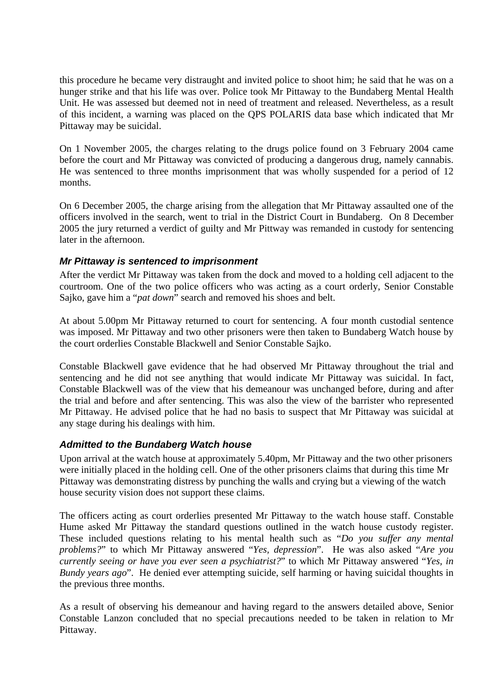this procedure he became very distraught and invited police to shoot him; he said that he was on a hunger strike and that his life was over. Police took Mr Pittaway to the Bundaberg Mental Health Unit. He was assessed but deemed not in need of treatment and released. Nevertheless, as a result of this incident, a warning was placed on the QPS POLARIS data base which indicated that Mr Pittaway may be suicidal.

On 1 November 2005, the charges relating to the drugs police found on 3 February 2004 came before the court and Mr Pittaway was convicted of producing a dangerous drug, namely cannabis. He was sentenced to three months imprisonment that was wholly suspended for a period of 12 months.

On 6 December 2005, the charge arising from the allegation that Mr Pittaway assaulted one of the officers involved in the search, went to trial in the District Court in Bundaberg. On 8 December 2005 the jury returned a verdict of guilty and Mr Pittway was remanded in custody for sentencing later in the afternoon.

### *Mr Pittaway is sentenced to imprisonment*

After the verdict Mr Pittaway was taken from the dock and moved to a holding cell adjacent to the courtroom. One of the two police officers who was acting as a court orderly, Senior Constable Sajko, gave him a "*pat down*" search and removed his shoes and belt.

At about 5.00pm Mr Pittaway returned to court for sentencing. A four month custodial sentence was imposed. Mr Pittaway and two other prisoners were then taken to Bundaberg Watch house by the court orderlies Constable Blackwell and Senior Constable Sajko.

Constable Blackwell gave evidence that he had observed Mr Pittaway throughout the trial and sentencing and he did not see anything that would indicate Mr Pittaway was suicidal. In fact, Constable Blackwell was of the view that his demeanour was unchanged before, during and after the trial and before and after sentencing. This was also the view of the barrister who represented Mr Pittaway. He advised police that he had no basis to suspect that Mr Pittaway was suicidal at any stage during his dealings with him.

#### *Admitted to the Bundaberg Watch house*

Upon arrival at the watch house at approximately 5.40pm, Mr Pittaway and the two other prisoners were initially placed in the holding cell. One of the other prisoners claims that during this time Mr Pittaway was demonstrating distress by punching the walls and crying but a viewing of the watch house security vision does not support these claims.

The officers acting as court orderlies presented Mr Pittaway to the watch house staff. Constable Hume asked Mr Pittaway the standard questions outlined in the watch house custody register. These included questions relating to his mental health such as "*Do you suffer any mental problems?*" to which Mr Pittaway answered "*Yes, depression*". He was also asked "*Are you currently seeing or have you ever seen a psychiatrist?*" to which Mr Pittaway answered "*Yes, in Bundy years ago*". He denied ever attempting suicide, self harming or having suicidal thoughts in the previous three months.

As a result of observing his demeanour and having regard to the answers detailed above, Senior Constable Lanzon concluded that no special precautions needed to be taken in relation to Mr Pittaway.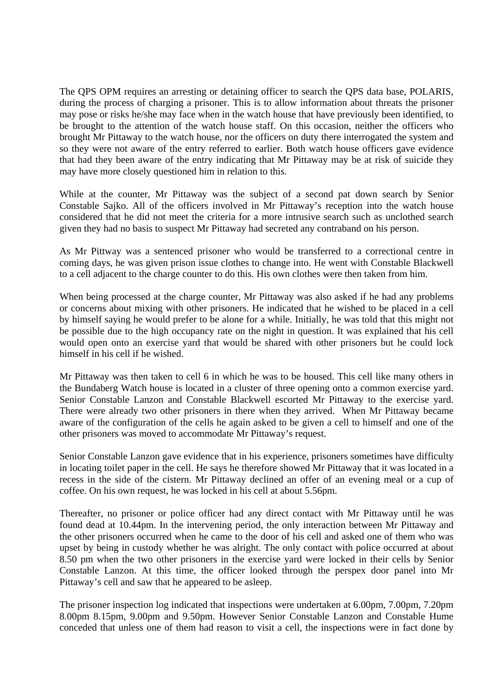The QPS OPM requires an arresting or detaining officer to search the QPS data base, POLARIS, during the process of charging a prisoner. This is to allow information about threats the prisoner may pose or risks he/she may face when in the watch house that have previously been identified, to be brought to the attention of the watch house staff. On this occasion, neither the officers who brought Mr Pittaway to the watch house, nor the officers on duty there interrogated the system and so they were not aware of the entry referred to earlier. Both watch house officers gave evidence that had they been aware of the entry indicating that Mr Pittaway may be at risk of suicide they may have more closely questioned him in relation to this.

While at the counter, Mr Pittaway was the subject of a second pat down search by Senior Constable Sajko. All of the officers involved in Mr Pittaway's reception into the watch house considered that he did not meet the criteria for a more intrusive search such as unclothed search given they had no basis to suspect Mr Pittaway had secreted any contraband on his person.

As Mr Pittway was a sentenced prisoner who would be transferred to a correctional centre in coming days, he was given prison issue clothes to change into. He went with Constable Blackwell to a cell adjacent to the charge counter to do this. His own clothes were then taken from him.

When being processed at the charge counter, Mr Pittaway was also asked if he had any problems or concerns about mixing with other prisoners. He indicated that he wished to be placed in a cell by himself saying he would prefer to be alone for a while. Initially, he was told that this might not be possible due to the high occupancy rate on the night in question. It was explained that his cell would open onto an exercise yard that would be shared with other prisoners but he could lock himself in his cell if he wished.

Mr Pittaway was then taken to cell 6 in which he was to be housed. This cell like many others in the Bundaberg Watch house is located in a cluster of three opening onto a common exercise yard. Senior Constable Lanzon and Constable Blackwell escorted Mr Pittaway to the exercise yard. There were already two other prisoners in there when they arrived. When Mr Pittaway became aware of the configuration of the cells he again asked to be given a cell to himself and one of the other prisoners was moved to accommodate Mr Pittaway's request.

Senior Constable Lanzon gave evidence that in his experience, prisoners sometimes have difficulty in locating toilet paper in the cell. He says he therefore showed Mr Pittaway that it was located in a recess in the side of the cistern. Mr Pittaway declined an offer of an evening meal or a cup of coffee. On his own request, he was locked in his cell at about 5.56pm.

Thereafter, no prisoner or police officer had any direct contact with Mr Pittaway until he was found dead at 10.44pm. In the intervening period, the only interaction between Mr Pittaway and the other prisoners occurred when he came to the door of his cell and asked one of them who was upset by being in custody whether he was alright. The only contact with police occurred at about 8.50 pm when the two other prisoners in the exercise yard were locked in their cells by Senior Constable Lanzon. At this time, the officer looked through the perspex door panel into Mr Pittaway's cell and saw that he appeared to be asleep.

The prisoner inspection log indicated that inspections were undertaken at 6.00pm, 7.00pm, 7.20pm 8.00pm 8.15pm, 9.00pm and 9.50pm. However Senior Constable Lanzon and Constable Hume conceded that unless one of them had reason to visit a cell, the inspections were in fact done by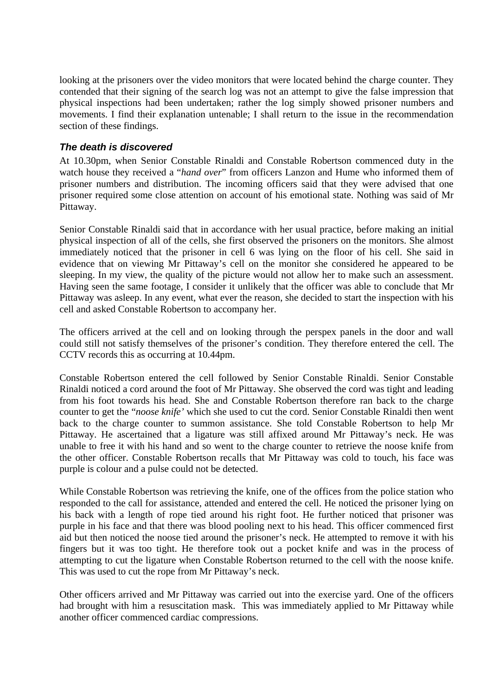looking at the prisoners over the video monitors that were located behind the charge counter. They contended that their signing of the search log was not an attempt to give the false impression that physical inspections had been undertaken; rather the log simply showed prisoner numbers and movements. I find their explanation untenable; I shall return to the issue in the recommendation section of these findings.

#### *The death is discovered*

At 10.30pm, when Senior Constable Rinaldi and Constable Robertson commenced duty in the watch house they received a "*hand over*" from officers Lanzon and Hume who informed them of prisoner numbers and distribution. The incoming officers said that they were advised that one prisoner required some close attention on account of his emotional state. Nothing was said of Mr Pittaway.

Senior Constable Rinaldi said that in accordance with her usual practice, before making an initial physical inspection of all of the cells, she first observed the prisoners on the monitors. She almost immediately noticed that the prisoner in cell 6 was lying on the floor of his cell. She said in evidence that on viewing Mr Pittaway's cell on the monitor she considered he appeared to be sleeping. In my view, the quality of the picture would not allow her to make such an assessment. Having seen the same footage, I consider it unlikely that the officer was able to conclude that Mr Pittaway was asleep. In any event, what ever the reason, she decided to start the inspection with his cell and asked Constable Robertson to accompany her.

The officers arrived at the cell and on looking through the perspex panels in the door and wall could still not satisfy themselves of the prisoner's condition. They therefore entered the cell. The CCTV records this as occurring at 10.44pm.

Constable Robertson entered the cell followed by Senior Constable Rinaldi. Senior Constable Rinaldi noticed a cord around the foot of Mr Pittaway. She observed the cord was tight and leading from his foot towards his head. She and Constable Robertson therefore ran back to the charge counter to get the "*noose knife'* which she used to cut the cord. Senior Constable Rinaldi then went back to the charge counter to summon assistance. She told Constable Robertson to help Mr Pittaway. He ascertained that a ligature was still affixed around Mr Pittaway's neck. He was unable to free it with his hand and so went to the charge counter to retrieve the noose knife from the other officer. Constable Robertson recalls that Mr Pittaway was cold to touch, his face was purple is colour and a pulse could not be detected.

While Constable Robertson was retrieving the knife, one of the offices from the police station who responded to the call for assistance, attended and entered the cell. He noticed the prisoner lying on his back with a length of rope tied around his right foot. He further noticed that prisoner was purple in his face and that there was blood pooling next to his head. This officer commenced first aid but then noticed the noose tied around the prisoner's neck. He attempted to remove it with his fingers but it was too tight. He therefore took out a pocket knife and was in the process of attempting to cut the ligature when Constable Robertson returned to the cell with the noose knife. This was used to cut the rope from Mr Pittaway's neck.

Other officers arrived and Mr Pittaway was carried out into the exercise yard. One of the officers had brought with him a resuscitation mask. This was immediately applied to Mr Pittaway while another officer commenced cardiac compressions.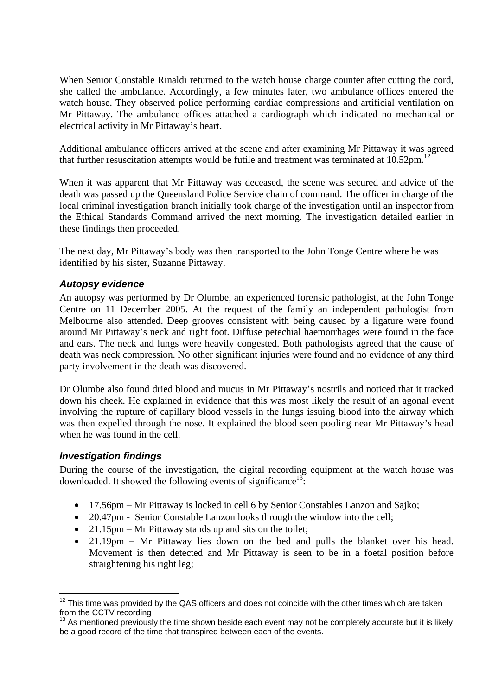When Senior Constable Rinaldi returned to the watch house charge counter after cutting the cord, she called the ambulance. Accordingly, a few minutes later, two ambulance offices entered the watch house. They observed police performing cardiac compressions and artificial ventilation on Mr Pittaway. The ambulance offices attached a cardiograph which indicated no mechanical or electrical activity in Mr Pittaway's heart.

Additional ambulance officers arrived at the scene and after examining Mr Pittaway it was agreed that further resuscitation attempts would be futile and treatment was terminated at  $10.52$ pm.<sup>12</sup>

When it was apparent that Mr Pittaway was deceased, the scene was secured and advice of the death was passed up the Queensland Police Service chain of command. The officer in charge of the local criminal investigation branch initially took charge of the investigation until an inspector from the Ethical Standards Command arrived the next morning. The investigation detailed earlier in these findings then proceeded.

The next day, Mr Pittaway's body was then transported to the John Tonge Centre where he was identified by his sister, Suzanne Pittaway.

#### *Autopsy evidence*

An autopsy was performed by Dr Olumbe, an experienced forensic pathologist, at the John Tonge Centre on 11 December 2005. At the request of the family an independent pathologist from Melbourne also attended. Deep grooves consistent with being caused by a ligature were found around Mr Pittaway's neck and right foot. Diffuse petechial haemorrhages were found in the face and ears. The neck and lungs were heavily congested. Both pathologists agreed that the cause of death was neck compression. No other significant injuries were found and no evidence of any third party involvement in the death was discovered.

Dr Olumbe also found dried blood and mucus in Mr Pittaway's nostrils and noticed that it tracked down his cheek. He explained in evidence that this was most likely the result of an agonal event involving the rupture of capillary blood vessels in the lungs issuing blood into the airway which was then expelled through the nose. It explained the blood seen pooling near Mr Pittaway's head when he was found in the cell.

#### *Investigation findings*

1

During the course of the investigation, the digital recording equipment at the watch house was downloaded. It showed the following events of significance<sup>13</sup>:

- 17.56pm Mr Pittaway is locked in cell 6 by Senior Constables Lanzon and Sajko;
- 20.47pm Senior Constable Lanzon looks through the window into the cell;
- 21.15pm Mr Pittaway stands up and sits on the toilet;
- 21.19pm Mr Pittaway lies down on the bed and pulls the blanket over his head. Movement is then detected and Mr Pittaway is seen to be in a foetal position before straightening his right leg;

 $12$  This time was provided by the QAS officers and does not coincide with the other times which are taken from the CCTV recording

 $13$  As mentioned previously the time shown beside each event may not be completely accurate but it is likely be a good record of the time that transpired between each of the events.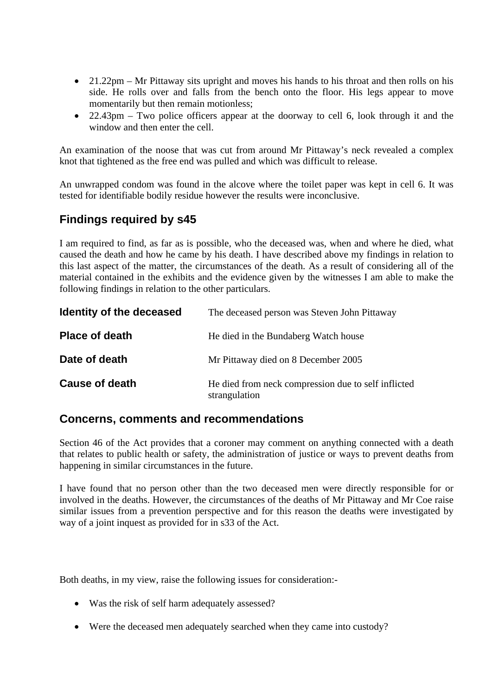- 21.22pm Mr Pittaway sits upright and moves his hands to his throat and then rolls on his side. He rolls over and falls from the bench onto the floor. His legs appear to move momentarily but then remain motionless;
- 22.43pm Two police officers appear at the doorway to cell 6, look through it and the window and then enter the cell.

An examination of the noose that was cut from around Mr Pittaway's neck revealed a complex knot that tightened as the free end was pulled and which was difficult to release.

An unwrapped condom was found in the alcove where the toilet paper was kept in cell 6. It was tested for identifiable bodily residue however the results were inconclusive.

# **Findings required by s45**

I am required to find, as far as is possible, who the deceased was, when and where he died, what caused the death and how he came by his death. I have described above my findings in relation to this last aspect of the matter, the circumstances of the death. As a result of considering all of the material contained in the exhibits and the evidence given by the witnesses I am able to make the following findings in relation to the other particulars.

| Identity of the deceased | The deceased person was Steven John Pittaway                         |
|--------------------------|----------------------------------------------------------------------|
| <b>Place of death</b>    | He died in the Bundaberg Watch house                                 |
| Date of death            | Mr Pittaway died on 8 December 2005                                  |
| <b>Cause of death</b>    | He died from neck compression due to self inflicted<br>strangulation |

## **Concerns, comments and recommendations**

Section 46 of the Act provides that a coroner may comment on anything connected with a death that relates to public health or safety, the administration of justice or ways to prevent deaths from happening in similar circumstances in the future.

I have found that no person other than the two deceased men were directly responsible for or involved in the deaths. However, the circumstances of the deaths of Mr Pittaway and Mr Coe raise similar issues from a prevention perspective and for this reason the deaths were investigated by way of a joint inquest as provided for in s33 of the Act.

Both deaths, in my view, raise the following issues for consideration:-

- Was the risk of self harm adequately assessed?
- Were the deceased men adequately searched when they came into custody?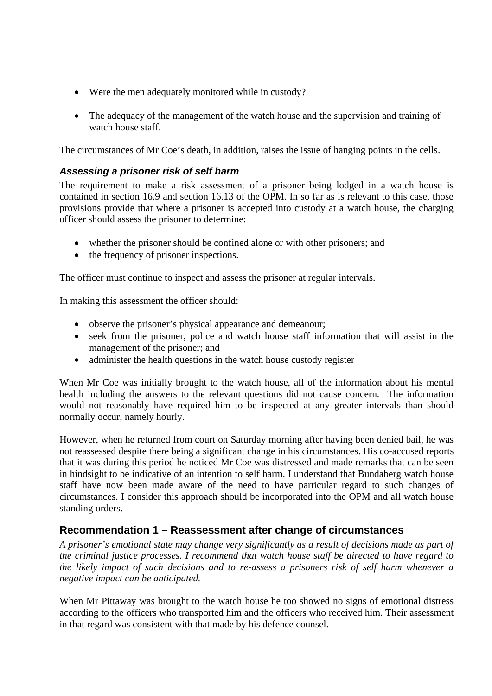- Were the men adequately monitored while in custody?
- The adequacy of the management of the watch house and the supervision and training of watch house staff.

The circumstances of Mr Coe's death, in addition, raises the issue of hanging points in the cells.

### *Assessing a prisoner risk of self harm*

The requirement to make a risk assessment of a prisoner being lodged in a watch house is contained in section 16.9 and section 16.13 of the OPM. In so far as is relevant to this case, those provisions provide that where a prisoner is accepted into custody at a watch house, the charging officer should assess the prisoner to determine:

- whether the prisoner should be confined alone or with other prisoners; and
- the frequency of prisoner inspections.

The officer must continue to inspect and assess the prisoner at regular intervals.

In making this assessment the officer should:

- observe the prisoner's physical appearance and demeanour;
- seek from the prisoner, police and watch house staff information that will assist in the management of the prisoner; and
- administer the health questions in the watch house custody register

When Mr Coe was initially brought to the watch house, all of the information about his mental health including the answers to the relevant questions did not cause concern. The information would not reasonably have required him to be inspected at any greater intervals than should normally occur, namely hourly.

However, when he returned from court on Saturday morning after having been denied bail, he was not reassessed despite there being a significant change in his circumstances. His co-accused reports that it was during this period he noticed Mr Coe was distressed and made remarks that can be seen in hindsight to be indicative of an intention to self harm. I understand that Bundaberg watch house staff have now been made aware of the need to have particular regard to such changes of circumstances. I consider this approach should be incorporated into the OPM and all watch house standing orders.

# **Recommendation 1 – Reassessment after change of circumstances**

*A prisoner's emotional state may change very significantly as a result of decisions made as part of the criminal justice processes. I recommend that watch house staff be directed to have regard to the likely impact of such decisions and to re-assess a prisoners risk of self harm whenever a negative impact can be anticipated.* 

When Mr Pittaway was brought to the watch house he too showed no signs of emotional distress according to the officers who transported him and the officers who received him. Their assessment in that regard was consistent with that made by his defence counsel.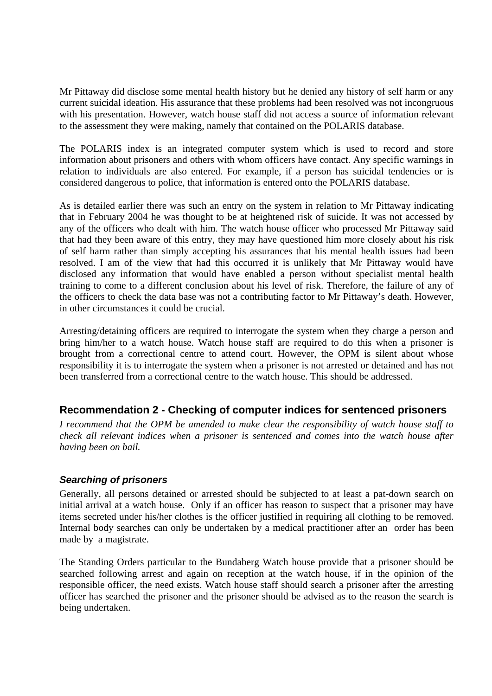Mr Pittaway did disclose some mental health history but he denied any history of self harm or any current suicidal ideation. His assurance that these problems had been resolved was not incongruous with his presentation. However, watch house staff did not access a source of information relevant to the assessment they were making, namely that contained on the POLARIS database.

The POLARIS index is an integrated computer system which is used to record and store information about prisoners and others with whom officers have contact. Any specific warnings in relation to individuals are also entered. For example, if a person has suicidal tendencies or is considered dangerous to police, that information is entered onto the POLARIS database.

As is detailed earlier there was such an entry on the system in relation to Mr Pittaway indicating that in February 2004 he was thought to be at heightened risk of suicide. It was not accessed by any of the officers who dealt with him. The watch house officer who processed Mr Pittaway said that had they been aware of this entry, they may have questioned him more closely about his risk of self harm rather than simply accepting his assurances that his mental health issues had been resolved. I am of the view that had this occurred it is unlikely that Mr Pittaway would have disclosed any information that would have enabled a person without specialist mental health training to come to a different conclusion about his level of risk. Therefore, the failure of any of the officers to check the data base was not a contributing factor to Mr Pittaway's death. However, in other circumstances it could be crucial.

Arresting/detaining officers are required to interrogate the system when they charge a person and bring him/her to a watch house. Watch house staff are required to do this when a prisoner is brought from a correctional centre to attend court. However, the OPM is silent about whose responsibility it is to interrogate the system when a prisoner is not arrested or detained and has not been transferred from a correctional centre to the watch house. This should be addressed.

## **Recommendation 2 - Checking of computer indices for sentenced prisoners**

*I recommend that the OPM be amended to make clear the responsibility of watch house staff to check all relevant indices when a prisoner is sentenced and comes into the watch house after having been on bail.* 

### *Searching of prisoners*

Generally, all persons detained or arrested should be subjected to at least a pat-down search on initial arrival at a watch house. Only if an officer has reason to suspect that a prisoner may have items secreted under his/her clothes is the officer justified in requiring all clothing to be removed. Internal body searches can only be undertaken by a medical practitioner after an order has been made by a magistrate.

The Standing Orders particular to the Bundaberg Watch house provide that a prisoner should be searched following arrest and again on reception at the watch house, if in the opinion of the responsible officer, the need exists. Watch house staff should search a prisoner after the arresting officer has searched the prisoner and the prisoner should be advised as to the reason the search is being undertaken.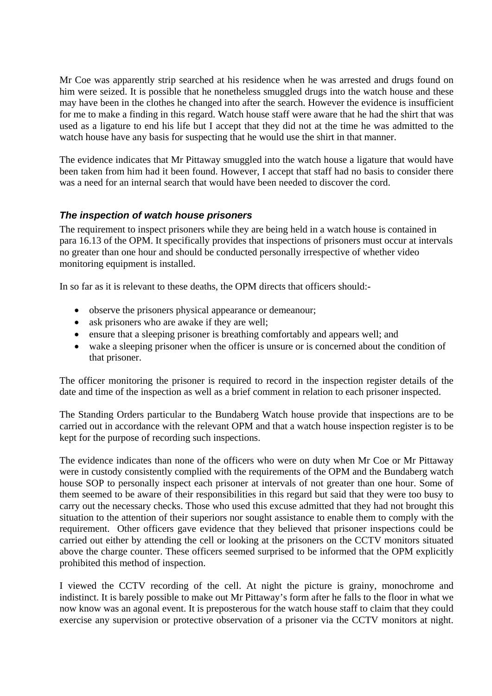Mr Coe was apparently strip searched at his residence when he was arrested and drugs found on him were seized. It is possible that he nonetheless smuggled drugs into the watch house and these may have been in the clothes he changed into after the search. However the evidence is insufficient for me to make a finding in this regard. Watch house staff were aware that he had the shirt that was used as a ligature to end his life but I accept that they did not at the time he was admitted to the watch house have any basis for suspecting that he would use the shirt in that manner.

The evidence indicates that Mr Pittaway smuggled into the watch house a ligature that would have been taken from him had it been found. However, I accept that staff had no basis to consider there was a need for an internal search that would have been needed to discover the cord.

## *The inspection of watch house prisoners*

The requirement to inspect prisoners while they are being held in a watch house is contained in para 16.13 of the OPM. It specifically provides that inspections of prisoners must occur at intervals no greater than one hour and should be conducted personally irrespective of whether video monitoring equipment is installed.

In so far as it is relevant to these deaths, the OPM directs that officers should:-

- observe the prisoners physical appearance or demeanour;
- ask prisoners who are awake if they are well;
- ensure that a sleeping prisoner is breathing comfortably and appears well; and
- wake a sleeping prisoner when the officer is unsure or is concerned about the condition of that prisoner.

The officer monitoring the prisoner is required to record in the inspection register details of the date and time of the inspection as well as a brief comment in relation to each prisoner inspected.

The Standing Orders particular to the Bundaberg Watch house provide that inspections are to be carried out in accordance with the relevant OPM and that a watch house inspection register is to be kept for the purpose of recording such inspections.

The evidence indicates than none of the officers who were on duty when Mr Coe or Mr Pittaway were in custody consistently complied with the requirements of the OPM and the Bundaberg watch house SOP to personally inspect each prisoner at intervals of not greater than one hour. Some of them seemed to be aware of their responsibilities in this regard but said that they were too busy to carry out the necessary checks. Those who used this excuse admitted that they had not brought this situation to the attention of their superiors nor sought assistance to enable them to comply with the requirement. Other officers gave evidence that they believed that prisoner inspections could be carried out either by attending the cell or looking at the prisoners on the CCTV monitors situated above the charge counter. These officers seemed surprised to be informed that the OPM explicitly prohibited this method of inspection.

I viewed the CCTV recording of the cell. At night the picture is grainy, monochrome and indistinct. It is barely possible to make out Mr Pittaway's form after he falls to the floor in what we now know was an agonal event. It is preposterous for the watch house staff to claim that they could exercise any supervision or protective observation of a prisoner via the CCTV monitors at night.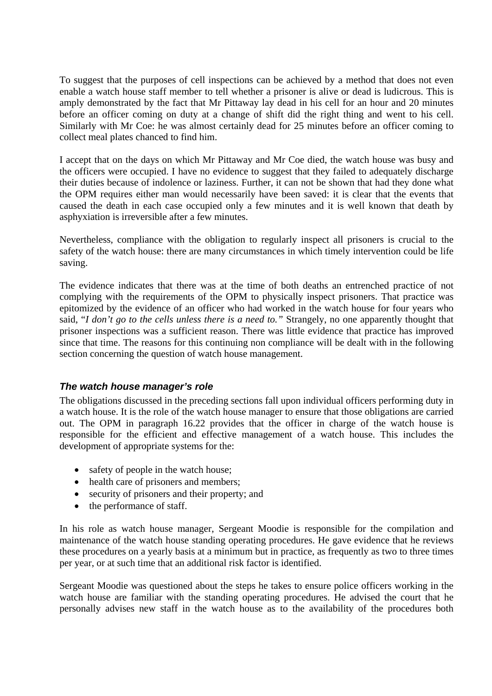To suggest that the purposes of cell inspections can be achieved by a method that does not even enable a watch house staff member to tell whether a prisoner is alive or dead is ludicrous. This is amply demonstrated by the fact that Mr Pittaway lay dead in his cell for an hour and 20 minutes before an officer coming on duty at a change of shift did the right thing and went to his cell. Similarly with Mr Coe: he was almost certainly dead for 25 minutes before an officer coming to collect meal plates chanced to find him.

I accept that on the days on which Mr Pittaway and Mr Coe died, the watch house was busy and the officers were occupied. I have no evidence to suggest that they failed to adequately discharge their duties because of indolence or laziness. Further, it can not be shown that had they done what the OPM requires either man would necessarily have been saved: it is clear that the events that caused the death in each case occupied only a few minutes and it is well known that death by asphyxiation is irreversible after a few minutes.

Nevertheless, compliance with the obligation to regularly inspect all prisoners is crucial to the safety of the watch house: there are many circumstances in which timely intervention could be life saving.

The evidence indicates that there was at the time of both deaths an entrenched practice of not complying with the requirements of the OPM to physically inspect prisoners. That practice was epitomized by the evidence of an officer who had worked in the watch house for four years who said, "*I don't go to the cells unless there is a need to."* Strangely, no one apparently thought that prisoner inspections was a sufficient reason. There was little evidence that practice has improved since that time. The reasons for this continuing non compliance will be dealt with in the following section concerning the question of watch house management.

### *The watch house manager's role*

The obligations discussed in the preceding sections fall upon individual officers performing duty in a watch house. It is the role of the watch house manager to ensure that those obligations are carried out. The OPM in paragraph 16.22 provides that the officer in charge of the watch house is responsible for the efficient and effective management of a watch house. This includes the development of appropriate systems for the:

- safety of people in the watch house;
- health care of prisoners and members;
- security of prisoners and their property; and
- the performance of staff.

In his role as watch house manager, Sergeant Moodie is responsible for the compilation and maintenance of the watch house standing operating procedures. He gave evidence that he reviews these procedures on a yearly basis at a minimum but in practice, as frequently as two to three times per year, or at such time that an additional risk factor is identified.

Sergeant Moodie was questioned about the steps he takes to ensure police officers working in the watch house are familiar with the standing operating procedures. He advised the court that he personally advises new staff in the watch house as to the availability of the procedures both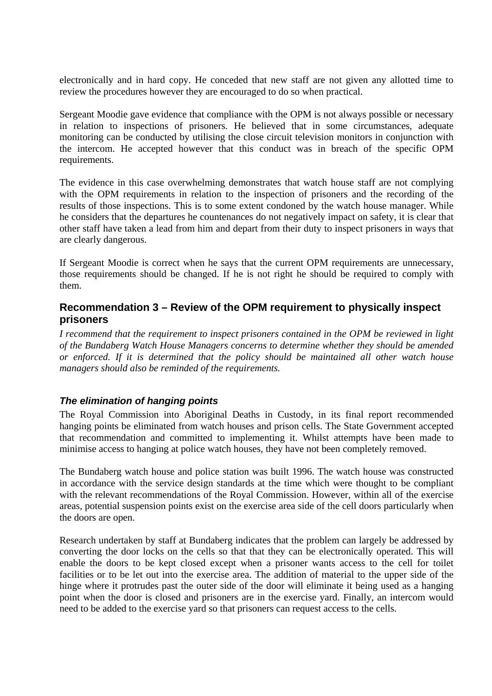electronically and in hard copy. He conceded that new staff are not given any allotted time to review the procedures however they are encouraged to do so when practical.

Sergeant Moodie gave evidence that compliance with the OPM is not always possible or necessary in relation to inspections of prisoners. He believed that in some circumstances, adequate monitoring can be conducted by utilising the close circuit television monitors in conjunction with the intercom. He accepted however that this conduct was in breach of the specific OPM requirements.

The evidence in this case overwhelming demonstrates that watch house staff are not complying with the OPM requirements in relation to the inspection of prisoners and the recording of the results of those inspections. This is to some extent condoned by the watch house manager. While he considers that the departures he countenances do not negatively impact on safety, it is clear that other staff have taken a lead from him and depart from their duty to inspect prisoners in ways that are clearly dangerous.

If Sergeant Moodie is correct when he says that the current OPM requirements are unnecessary, those requirements should be changed. If he is not right he should be required to comply with them.

# **Recommendation 3 – Review of the OPM requirement to physically inspect prisoners**

*I recommend that the requirement to inspect prisoners contained in the OPM be reviewed in light of the Bundaberg Watch House Managers concerns to determine whether they should be amended or enforced. If it is determined that the policy should be maintained all other watch house managers should also be reminded of the requirements.* 

### *The elimination of hanging points*

The Royal Commission into Aboriginal Deaths in Custody, in its final report recommended hanging points be eliminated from watch houses and prison cells. The State Government accepted that recommendation and committed to implementing it. Whilst attempts have been made to minimise access to hanging at police watch houses, they have not been completely removed.

The Bundaberg watch house and police station was built 1996. The watch house was constructed in accordance with the service design standards at the time which were thought to be compliant with the relevant recommendations of the Royal Commission. However, within all of the exercise areas, potential suspension points exist on the exercise area side of the cell doors particularly when the doors are open.

Research undertaken by staff at Bundaberg indicates that the problem can largely be addressed by converting the door locks on the cells so that that they can be electronically operated. This will enable the doors to be kept closed except when a prisoner wants access to the cell for toilet facilities or to be let out into the exercise area. The addition of material to the upper side of the hinge where it protrudes past the outer side of the door will eliminate it being used as a hanging point when the door is closed and prisoners are in the exercise yard. Finally, an intercom would need to be added to the exercise yard so that prisoners can request access to the cells.